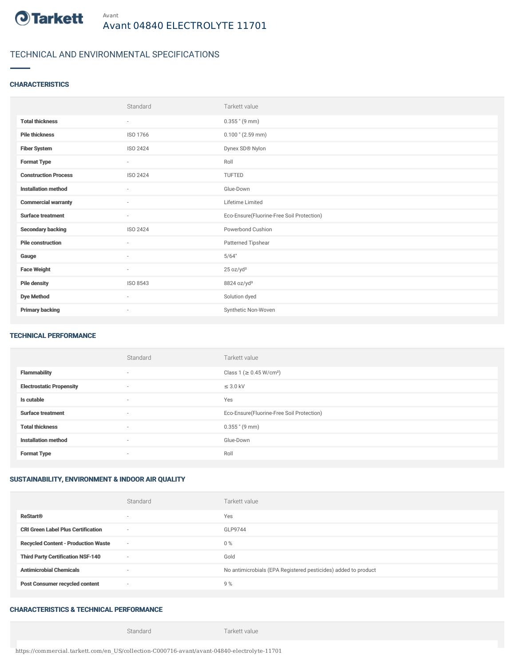

# TECHNICAL AND ENVIRONMENTAL SPECIFICATIONS

### **CHARACTERISTICS**

|                             | Standard                 | Tarkett value                             |
|-----------------------------|--------------------------|-------------------------------------------|
| <b>Total thickness</b>      | $\sim$                   | $0.355$ " (9 mm)                          |
| <b>Pile thickness</b>       | ISO 1766                 | $0.100$ " (2.59 mm)                       |
| <b>Fiber System</b>         | ISO 2424                 | Dynex SD® Nylon                           |
| <b>Format Type</b>          | ٠                        | Roll                                      |
| <b>Construction Process</b> | ISO 2424                 | <b>TUFTED</b>                             |
| <b>Installation method</b>  | $\sim$                   | Glue-Down                                 |
| <b>Commercial warranty</b>  | $\sim$                   | Lifetime Limited                          |
| <b>Surface treatment</b>    | $\sim$                   | Eco-Ensure(Fluorine-Free Soil Protection) |
| <b>Secondary backing</b>    | ISO 2424                 | Powerbond Cushion                         |
| <b>Pile construction</b>    | $\sim$                   | Patterned Tipshear                        |
| Gauge                       | ٠                        | 5/64"                                     |
| <b>Face Weight</b>          | $\sim$                   | 25 oz/yd <sup>2</sup>                     |
| <b>Pile density</b>         | ISO 8543                 | 8824 oz/yd <sup>3</sup>                   |
| <b>Dye Method</b>           | $\sim$                   | Solution dyed                             |
| <b>Primary backing</b>      | $\overline{\phantom{a}}$ | Synthetic Non-Woven                       |

#### TECHNICAL PERFORMANCE

|                                 | Standard                 | Tarkett value                             |
|---------------------------------|--------------------------|-------------------------------------------|
| <b>Flammability</b>             | ۰                        | Class 1 (≥ 0.45 W/cm <sup>2</sup> )       |
| <b>Electrostatic Propensity</b> | ۰                        | $\leq$ 3.0 kV                             |
| Is cutable                      | $\overline{\phantom{a}}$ | Yes                                       |
| <b>Surface treatment</b>        | $\sim$                   | Eco-Ensure(Fluorine-Free Soil Protection) |
| <b>Total thickness</b>          | $\overline{\phantom{a}}$ | $0.355$ " (9 mm)                          |
| <b>Installation method</b>      | $\overline{\phantom{a}}$ | Glue-Down                                 |
| <b>Format Type</b>              | ٠                        | Roll                                      |

### SUSTAINABILITY, ENVIRONMENT & INDOOR AIR QUALITY

|                                            | Standard | Tarkett value                                                  |
|--------------------------------------------|----------|----------------------------------------------------------------|
| <b>ReStart®</b>                            |          | Yes                                                            |
| <b>CRI Green Label Plus Certification</b>  | $\sim$   | GLP9744                                                        |
| <b>Recycled Content - Production Waste</b> | $\sim$   | $0\%$                                                          |
| <b>Third Party Certification NSF-140</b>   | $\sim$   | Gold                                                           |
| <b>Antimicrobial Chemicals</b>             | -        | No antimicrobials (EPA Registered pesticides) added to product |
| <b>Post Consumer recycled content</b>      | $\sim$   | 9%                                                             |

## CHARACTERISTICS & TECHNICAL PERFORMANCE

Standard Tarkett value